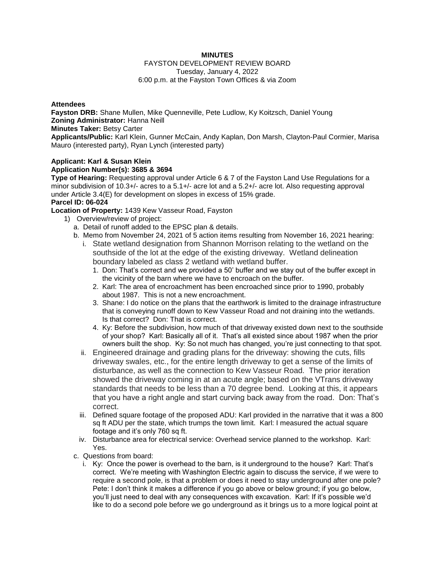## **MINUTES**

#### FAYSTON DEVELOPMENT REVIEW BOARD Tuesday, January 4, 2022 6:00 p.m. at the Fayston Town Offices & via Zoom

### **Attendees**

**Fayston DRB:** Shane Mullen, Mike Quenneville, Pete Ludlow, Ky Koitzsch, Daniel Young **Zoning Administrator:** Hanna Neill

## **Minutes Taker:** Betsy Carter

**Applicants/Public:** Karl Klein, Gunner McCain, Andy Kaplan, Don Marsh, Clayton-Paul Cormier, Marisa Mauro (interested party), Ryan Lynch (interested party)

#### **Applicant: Karl & Susan Klein Application Number(s): 3685 & 3694**

**Type of Hearing:** Requesting approval under Article 6 & 7 of the Fayston Land Use Regulations for a minor subdivision of 10.3+/- acres to a 5.1+/- acre lot and a 5.2+/- acre lot. Also requesting approval under Article 3.4(E) for development on slopes in excess of 15% grade.

## **Parcel ID: 06-024**

## **Location of Property:** 1439 Kew Vasseur Road, Fayston

- 1) Overview/review of project:
	- a. Detail of runoff added to the EPSC plan & details.
	- b. Memo from November 24, 2021 of 5 action items resulting from November 16, 2021 hearing:
		- i. State wetland designation from Shannon Morrison relating to the wetland on the southside of the lot at the edge of the existing driveway. Wetland delineation boundary labeled as class 2 wetland with wetland buffer.
			- 1. Don: That's correct and we provided a 50' buffer and we stay out of the buffer except in the vicinity of the barn where we have to encroach on the buffer.
			- 2. Karl: The area of encroachment has been encroached since prior to 1990, probably about 1987. This is not a new encroachment.
			- 3. Shane: I do notice on the plans that the earthwork is limited to the drainage infrastructure that is conveying runoff down to Kew Vasseur Road and not draining into the wetlands. Is that correct? Don: That is correct.
			- 4. Ky: Before the subdivision, how much of that driveway existed down next to the southside of your shop? Karl: Basically all of it. That's all existed since about 1987 when the prior owners built the shop. Ky: So not much has changed, you're just connecting to that spot.
		- ii. Engineered drainage and grading plans for the driveway: showing the cuts, fills driveway swales, etc., for the entire length driveway to get a sense of the limits of disturbance, as well as the connection to Kew Vasseur Road. The prior iteration showed the driveway coming in at an acute angle; based on the VTrans driveway standards that needs to be less than a 70 degree bend. Looking at this, it appears that you have a right angle and start curving back away from the road. Don: That's correct.
		- iii. Defined square footage of the proposed ADU: Karl provided in the narrative that it was a 800 sq ft ADU per the state, which trumps the town limit. Karl: I measured the actual square footage and it's only 760 sq ft.
		- iv. Disturbance area for electrical service: Overhead service planned to the workshop. Karl: Yes.
	- c. Questions from board:
		- i. Ky: Once the power is overhead to the barn, is it underground to the house? Karl: That's correct. We're meeting with Washington Electric again to discuss the service, if we were to require a second pole, is that a problem or does it need to stay underground after one pole? Pete: I don't think it makes a difference if you go above or below ground; if you go below, you'll just need to deal with any consequences with excavation. Karl: If it's possible we'd like to do a second pole before we go underground as it brings us to a more logical point at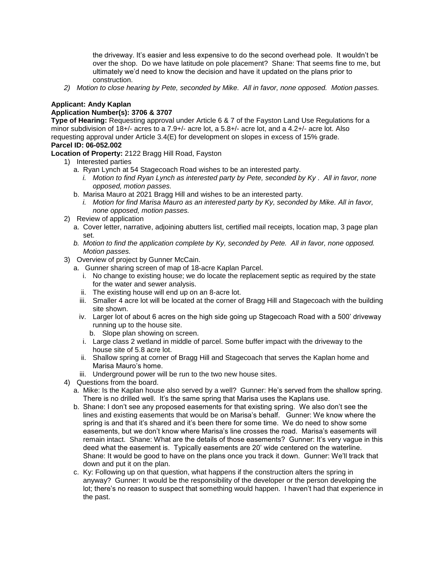the driveway. It's easier and less expensive to do the second overhead pole. It wouldn't be over the shop. Do we have latitude on pole placement? Shane: That seems fine to me, but ultimately we'd need to know the decision and have it updated on the plans prior to construction.

*2) Motion to close hearing by Pete, seconded by Mike. All in favor, none opposed. Motion passes.* 

## **Applicant: Andy Kaplan**

## **Application Number(s): 3706 & 3707**

**Type of Hearing:** Requesting approval under Article 6 & 7 of the Fayston Land Use Regulations for a minor subdivision of 18+/- acres to a 7.9+/- acre lot, a 5.8+/- acre lot, and a 4.2+/- acre lot. Also requesting approval under Article 3.4(E) for development on slopes in excess of 15% grade.

# **Parcel ID: 06-052.002**

**Location of Property:** 2122 Bragg Hill Road, Fayston

- 1) Interested parties
	- a. Ryan Lynch at 54 Stagecoach Road wishes to be an interested party.
		- *i. Motion to find Ryan Lynch as interested party by Pete, seconded by Ky . All in favor, none opposed, motion passes.*
	- b. Marisa Mauro at 2021 Bragg Hill and wishes to be an interested party.
		- *i. Motion for find Marisa Mauro as an interested party by Ky, seconded by Mike. All in favor, none opposed, motion passes.*
- 2) Review of application
	- a. Cover letter, narrative, adjoining abutters list, certified mail receipts, location map, 3 page plan set.
	- *b. Motion to find the application complete by Ky, seconded by Pete. All in favor, none opposed. Motion passes.*
- 3) Overview of project by Gunner McCain.
	- a. Gunner sharing screen of map of 18-acre Kaplan Parcel.
		- i. No change to existing house; we do locate the replacement septic as required by the state for the water and sewer analysis.
		- ii. The existing house will end up on an 8-acre lot.
		- iii. Smaller 4 acre lot will be located at the corner of Bragg Hill and Stagecoach with the building site shown.
		- iv. Larger lot of about 6 acres on the high side going up Stagecoach Road with a 500' driveway running up to the house site.
			- b. Slope plan showing on screen.
		- i. Large class 2 wetland in middle of parcel. Some buffer impact with the driveway to the house site of 5.8 acre lot.
		- ii. Shallow spring at corner of Bragg Hill and Stagecoach that serves the Kaplan home and Marisa Mauro's home.
	- iii. Underground power will be run to the two new house sites.
- 4) Questions from the board.
	- a. Mike: Is the Kaplan house also served by a well? Gunner: He's served from the shallow spring. There is no drilled well. It's the same spring that Marisa uses the Kaplans use.
	- b. Shane: I don't see any proposed easements for that existing spring. We also don't see the lines and existing easements that would be on Marisa's behalf. Gunner: We know where the spring is and that it's shared and it's been there for some time. We do need to show some easements, but we don't know where Marisa's line crosses the road. Marisa's easements will remain intact. Shane: What are the details of those easements? Gunner: It's very vague in this deed what the easement is. Typically easements are 20' wide centered on the waterline. Shane: It would be good to have on the plans once you track it down. Gunner: We'll track that down and put it on the plan.
	- c. Ky: Following up on that question, what happens if the construction alters the spring in anyway? Gunner: It would be the responsibility of the developer or the person developing the lot; there's no reason to suspect that something would happen. I haven't had that experience in the past.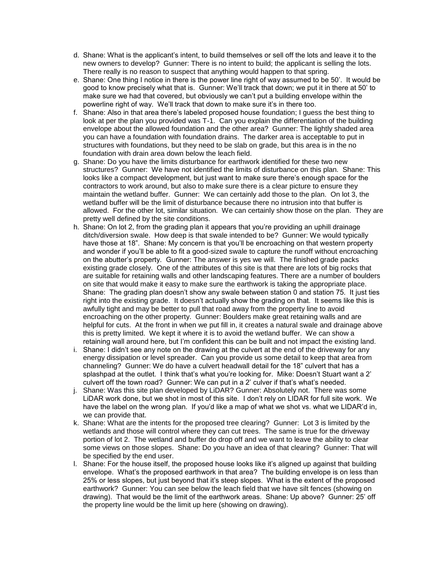- d. Shane: What is the applicant's intent, to build themselves or sell off the lots and leave it to the new owners to develop? Gunner: There is no intent to build; the applicant is selling the lots. There really is no reason to suspect that anything would happen to that spring.
- e. Shane: One thing I notice in there is the power line right of way assumed to be 50'. It would be good to know precisely what that is. Gunner: We'll track that down; we put it in there at 50' to make sure we had that covered, but obviously we can't put a building envelope within the powerline right of way. We'll track that down to make sure it's in there too.
- f. Shane: Also in that area there's labeled proposed house foundation; I guess the best thing to look at per the plan you provided was T-1. Can you explain the differentiation of the building envelope about the allowed foundation and the other area? Gunner: The lightly shaded area you can have a foundation with foundation drains. The darker area is acceptable to put in structures with foundations, but they need to be slab on grade, but this area is in the no foundation with drain area down below the leach field.
- g. Shane: Do you have the limits disturbance for earthwork identified for these two new structures? Gunner: We have not identified the limits of disturbance on this plan. Shane: This looks like a compact development, but just want to make sure there's enough space for the contractors to work around, but also to make sure there is a clear picture to ensure they maintain the wetland buffer. Gunner: We can certainly add those to the plan. On lot 3, the wetland buffer will be the limit of disturbance because there no intrusion into that buffer is allowed. For the other lot, similar situation. We can certainly show those on the plan. They are pretty well defined by the site conditions.
- h. Shane: On lot 2, from the grading plan it appears that you're providing an uphill drainage ditch/diversion swale. How deep is that swale intended to be? Gunner: We would typically have those at 18". Shane: My concern is that you'll be encroaching on that western property and wonder if you'll be able to fit a good-sized swale to capture the runoff without encroaching on the abutter's property. Gunner: The answer is yes we will. The finished grade packs existing grade closely. One of the attributes of this site is that there are lots of big rocks that are suitable for retaining walls and other landscaping features. There are a number of boulders on site that would make it easy to make sure the earthwork is taking the appropriate place. Shane: The grading plan doesn't show any swale between station 0 and station 75. It just ties right into the existing grade. It doesn't actually show the grading on that. It seems like this is awfully tight and may be better to pull that road away from the property line to avoid encroaching on the other property. Gunner: Boulders make great retaining walls and are helpful for cuts. At the front in when we put fill in, it creates a natural swale and drainage above this is pretty limited. We kept it where it is to avoid the wetland buffer. We can show a retaining wall around here, but I'm confident this can be built and not impact the existing land.
- i. Shane: I didn't see any note on the drawing at the culvert at the end of the driveway for any energy dissipation or level spreader. Can you provide us some detail to keep that area from channeling? Gunner: We do have a culvert headwall detail for the 18" culvert that has a splashpad at the outlet. I think that's what you're looking for. Mike: Doesn't Stuart want a 2' culvert off the town road? Gunner: We can put in a 2' culver if that's what's needed.
- j. Shane: Was this site plan developed by LiDAR? Gunner: Absolutely not. There was some LiDAR work done, but we shot in most of this site. I don't rely on LIDAR for full site work. We have the label on the wrong plan. If you'd like a map of what we shot vs. what we LIDAR'd in, we can provide that.
- k. Shane: What are the intents for the proposed tree clearing? Gunner: Lot 3 is limited by the wetlands and those will control where they can cut trees. The same is true for the driveway portion of lot 2. The wetland and buffer do drop off and we want to leave the ability to clear some views on those slopes. Shane: Do you have an idea of that clearing? Gunner: That will be specified by the end user.
- l. Shane: For the house itself, the proposed house looks like it's aligned up against that building envelope. What's the proposed earthwork in that area? The building envelope is on less than 25% or less slopes, but just beyond that it's steep slopes. What is the extent of the proposed earthwork? Gunner: You can see below the leach field that we have silt fences (showing on drawing). That would be the limit of the earthwork areas. Shane: Up above? Gunner: 25' off the property line would be the limit up here (showing on drawing).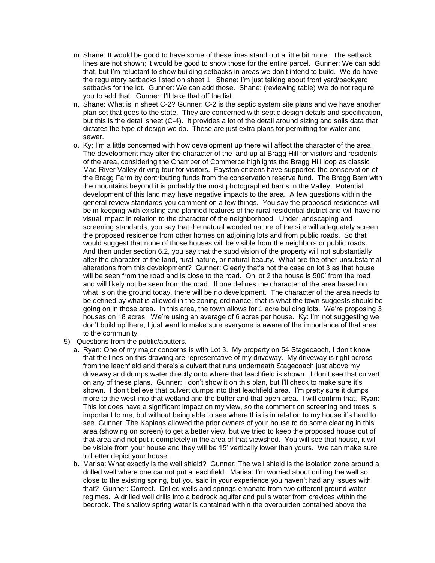- m. Shane: It would be good to have some of these lines stand out a little bit more. The setback lines are not shown; it would be good to show those for the entire parcel. Gunner: We can add that, but I'm reluctant to show building setbacks in areas we don't intend to build. We do have the regulatory setbacks listed on sheet 1. Shane: I'm just talking about front yard/backyard setbacks for the lot. Gunner: We can add those. Shane: (reviewing table) We do not require you to add that. Gunner: I'll take that off the list.
- n. Shane: What is in sheet C-2? Gunner: C-2 is the septic system site plans and we have another plan set that goes to the state. They are concerned with septic design details and specification, but this is the detail sheet (C-4). It provides a lot of the detail around sizing and soils data that dictates the type of design we do. These are just extra plans for permitting for water and sewer.
- o. Ky: I'm a little concerned with how development up there will affect the character of the area. The development may alter the character of the land up at Bragg Hill for visitors and residents of the area, considering the Chamber of Commerce highlights the Bragg Hill loop as classic Mad River Valley driving tour for visitors. Fayston citizens have supported the conservation of the Bragg Farm by contributing funds from the conservation reserve fund. The Bragg Barn with the mountains beyond it is probably the most photographed barns in the Valley. Potential development of this land may have negative impacts to the area. A few questions within the general review standards you comment on a few things. You say the proposed residences will be in keeping with existing and planned features of the rural residential district and will have no visual impact in relation to the character of the neighborhood. Under landscaping and screening standards, you say that the natural wooded nature of the site will adequately screen the proposed residence from other homes on adjoining lots and from public roads. So that would suggest that none of those houses will be visible from the neighbors or public roads. And then under section 6.2, you say that the subdivision of the property will not substantially alter the character of the land, rural nature, or natural beauty. What are the other unsubstantial alterations from this development? Gunner: Clearly that's not the case on lot 3 as that house will be seen from the road and is close to the road. On lot 2 the house is 500' from the road and will likely not be seen from the road. If one defines the character of the area based on what is on the ground today, there will be no development. The character of the area needs to be defined by what is allowed in the zoning ordinance; that is what the town suggests should be going on in those area. In this area, the town allows for 1 acre building lots. We're proposing 3 houses on 18 acres. We're using an average of 6 acres per house. Ky: I'm not suggesting we don't build up there, I just want to make sure everyone is aware of the importance of that area to the community.
- 5) Questions from the public/abutters.
	- a. Ryan: One of my major concerns is with Lot 3. My property on 54 Stagecaoch, I don't know that the lines on this drawing are representative of my driveway. My driveway is right across from the leachfield and there's a culvert that runs underneath Stagecoach just above my driveway and dumps water directly onto where that leachfield is shown. I don't see that culvert on any of these plans. Gunner: I don't show it on this plan, but I'll check to make sure it's shown. I don't believe that culvert dumps into that leachfield area. I'm pretty sure it dumps more to the west into that wetland and the buffer and that open area. I will confirm that. Ryan: This lot does have a significant impact on my view, so the comment on screening and trees is important to me, but without being able to see where this is in relation to my house it's hard to see. Gunner: The Kaplans allowed the prior owners of your house to do some clearing in this area (showing on screen) to get a better view, but we tried to keep the proposed house out of that area and not put it completely in the area of that viewshed. You will see that house, it will be visible from your house and they will be 15' vertically lower than yours. We can make sure to better depict your house.
	- b. Marisa: What exactly is the well shield? Gunner: The well shield is the isolation zone around a drilled well where one cannot put a leachfield. Marisa: I'm worried about drilling the well so close to the existing spring, but you said in your experience you haven't had any issues with that? Gunner: Correct. Drilled wells and springs emanate from two different ground water regimes. A drilled well drills into a bedrock aquifer and pulls water from crevices within the bedrock. The shallow spring water is contained within the overburden contained above the